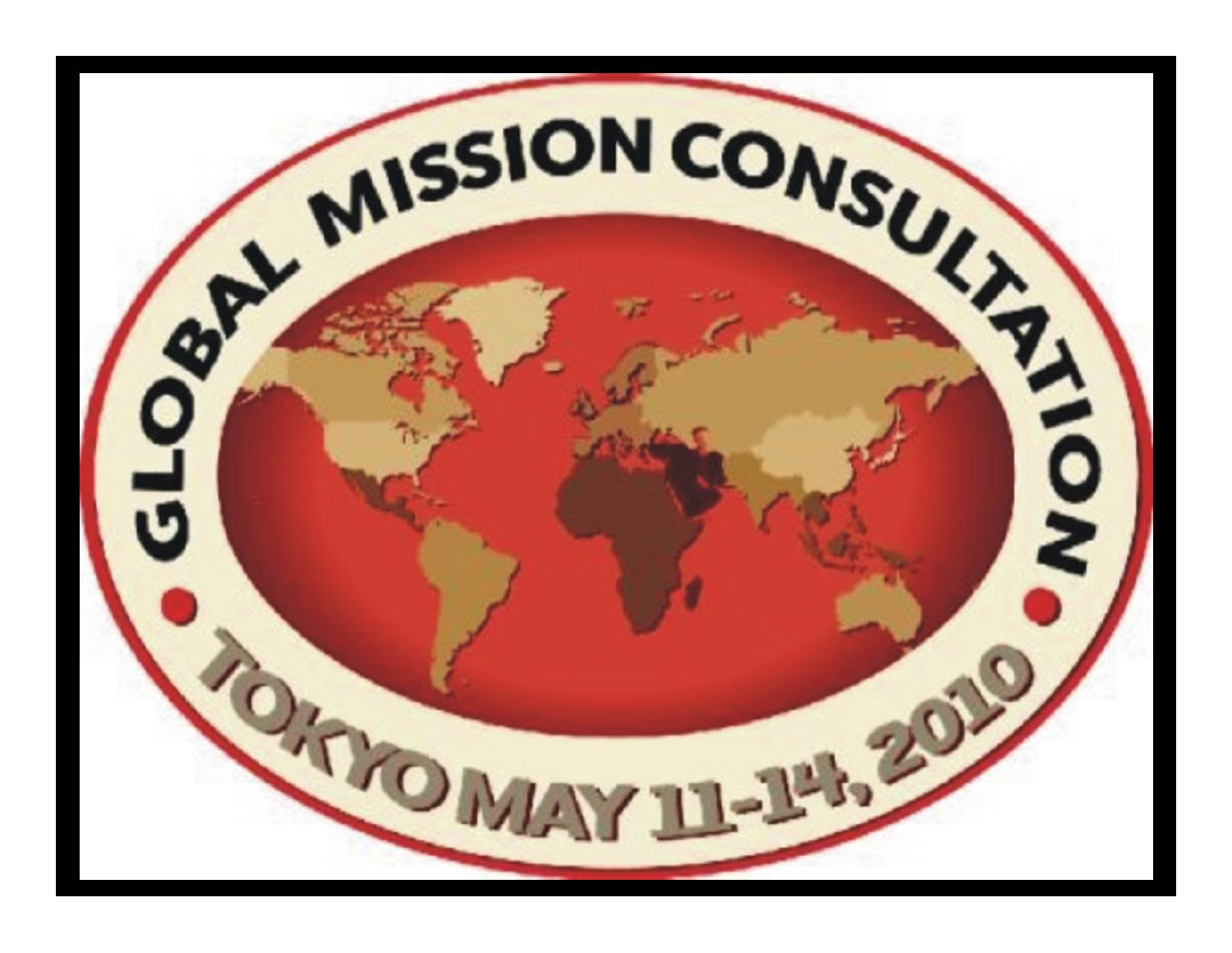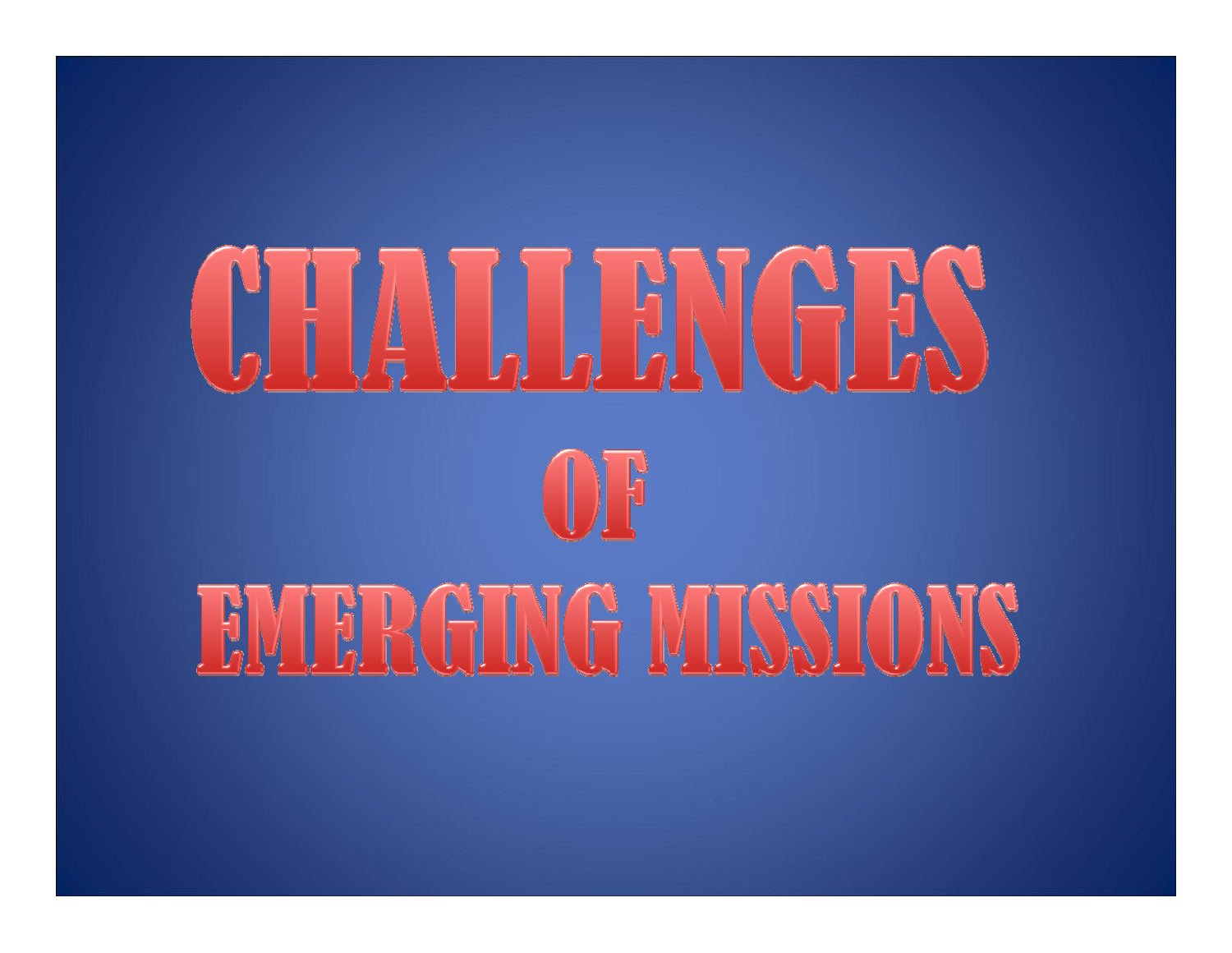# CHILLEN HANGES  $\bigoplus$ **EMERGING MISSIONS**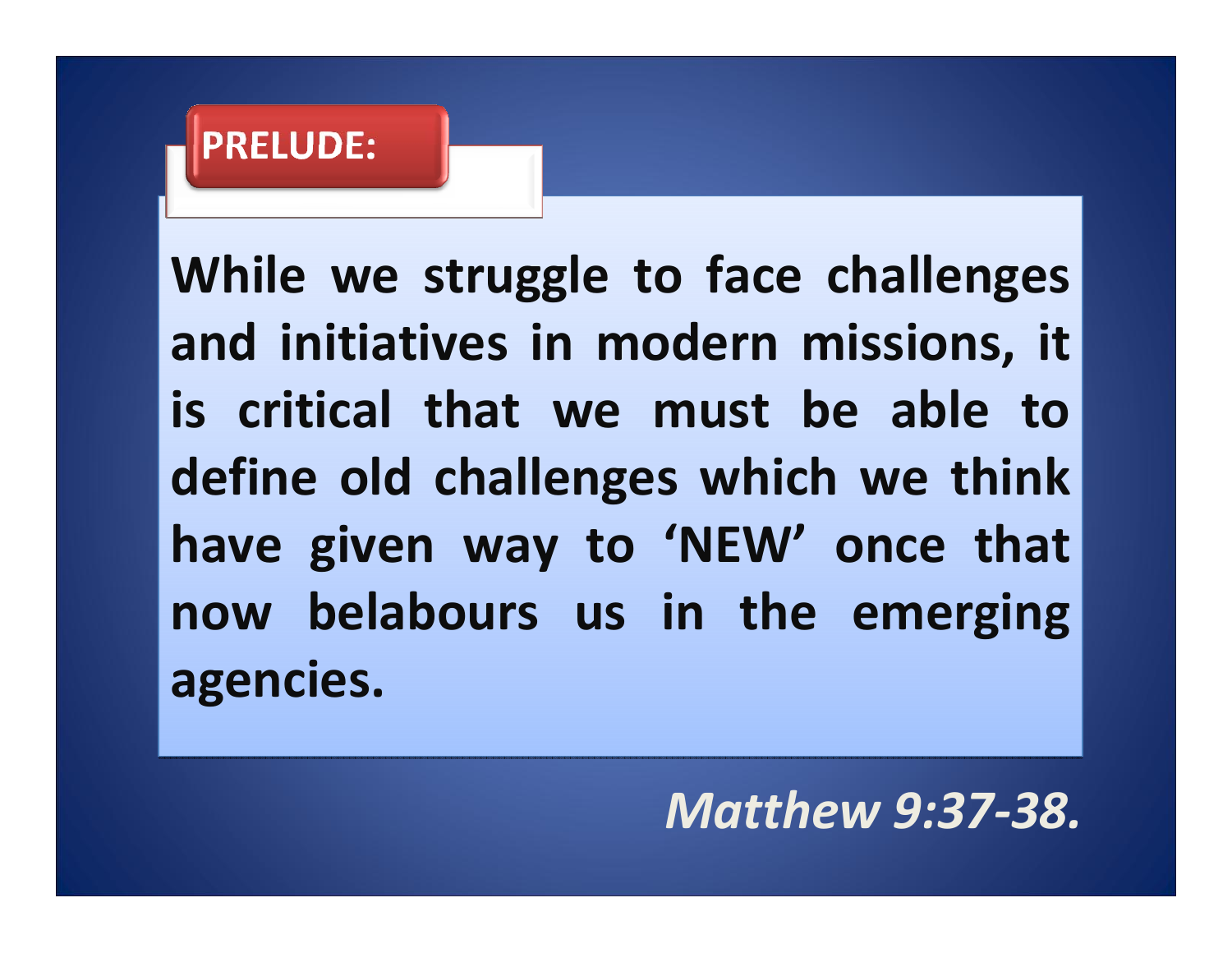## **PRELUDE:**

**While we struggle to face challenges While we struggle to face challenges and initiatives in modern missions, it and initiatives in modern missions, it is critical that we must be able tois critical that we must be able todefine old challenges which we think define old challenges which we think have given way to 'NEW' once that have given way to 'NEW' once that now belabours us in the emerging now belabours us in the emerging agencies. agencies.**

*Matthew 9:37‐38.*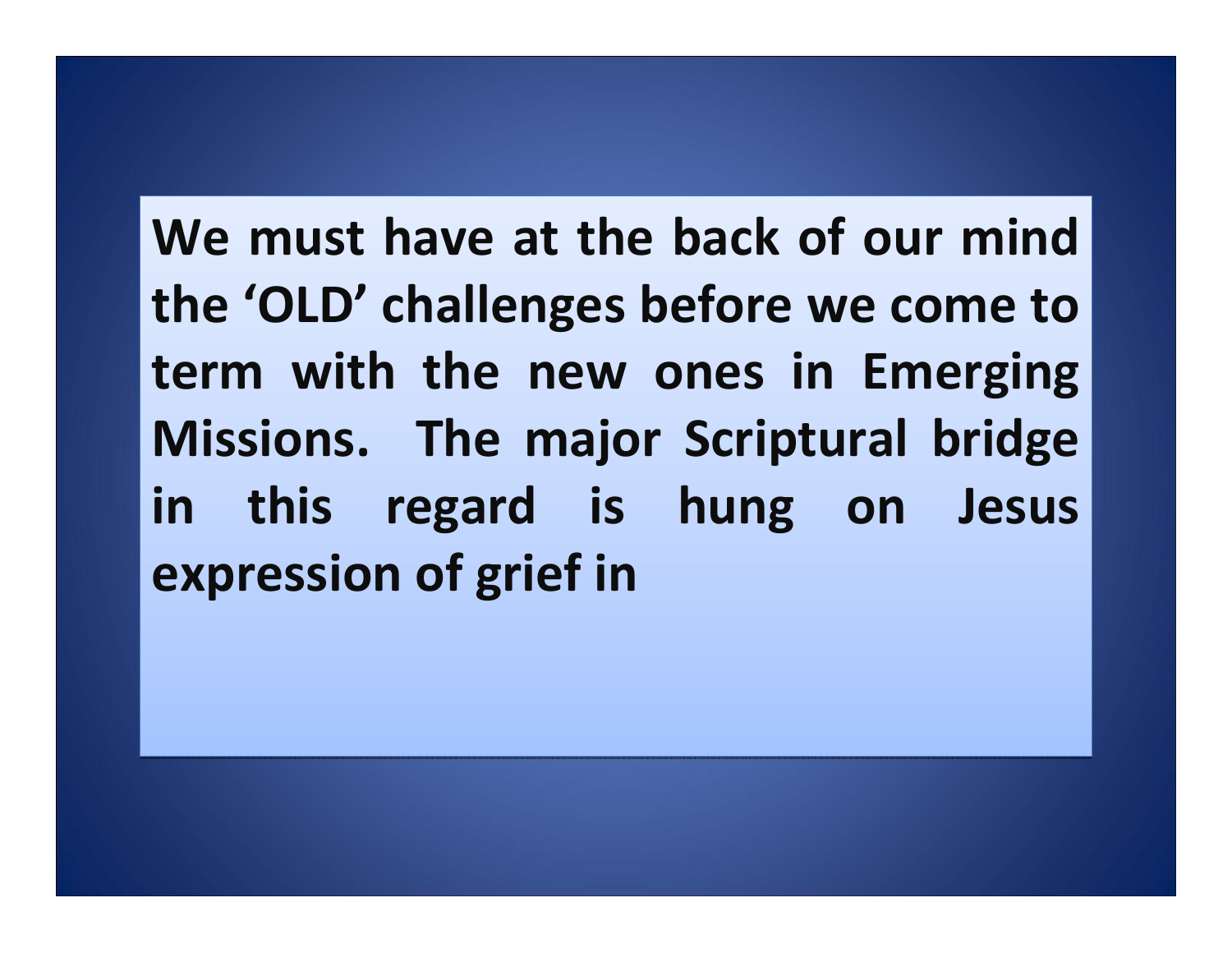**We must have at the back of our mind the 'OLD' challenges before we come to the 'OLD' challenges before we come to term with the new ones in Emerging term with the new ones in Emerging Missions. The major Scriptural bridge Missions. The major Scriptural bridge in this regard is hung on Jesus in this regard is hung on Jesus expression of grief in expression of grief in**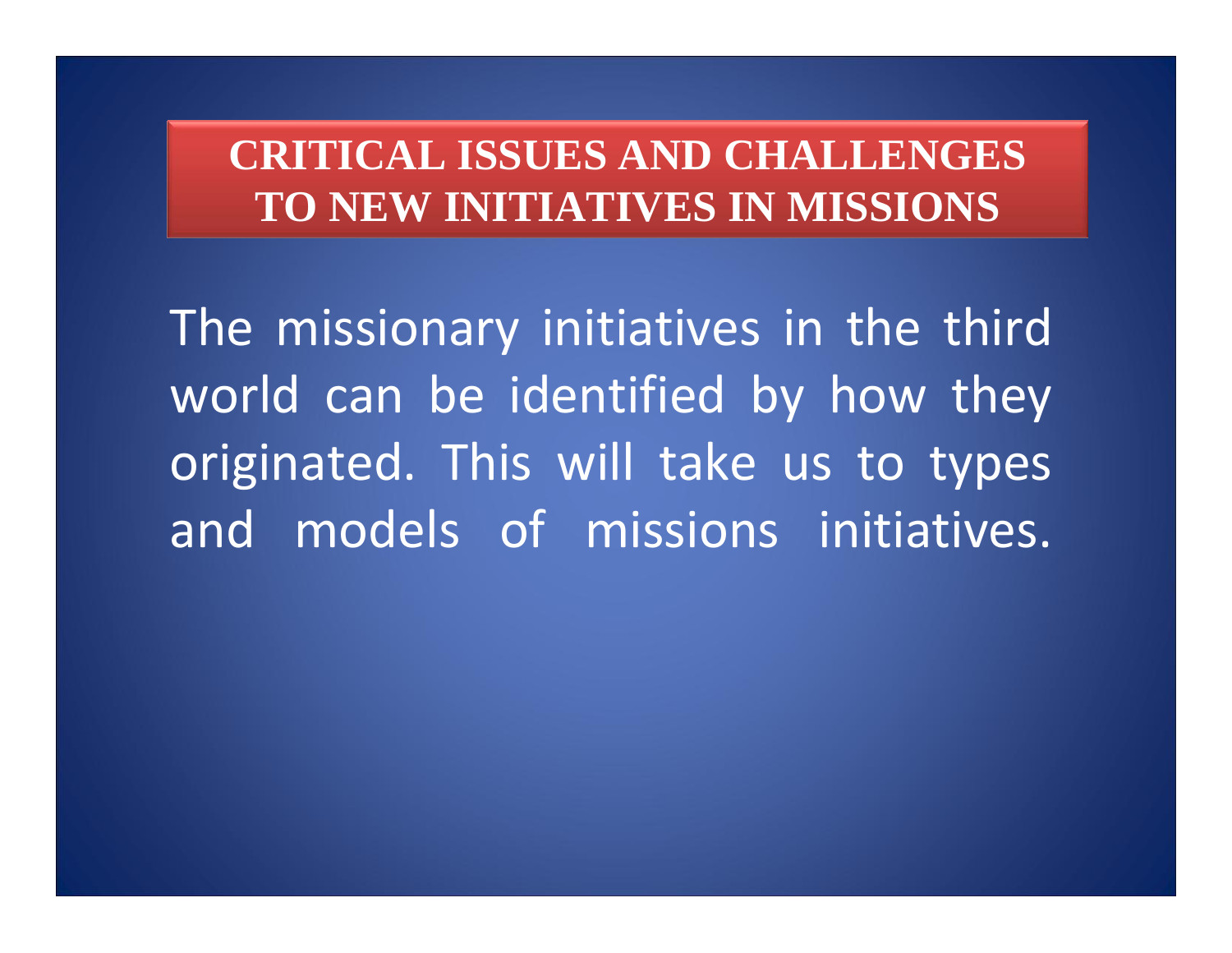### **CRITICAL ISSUES AND CHALLENGES TO NEW INITIATIVES IN MISSIONS**

The missionary initiatives in the third world can be identified by how they originated. This will take us to types and models of missions initiatives.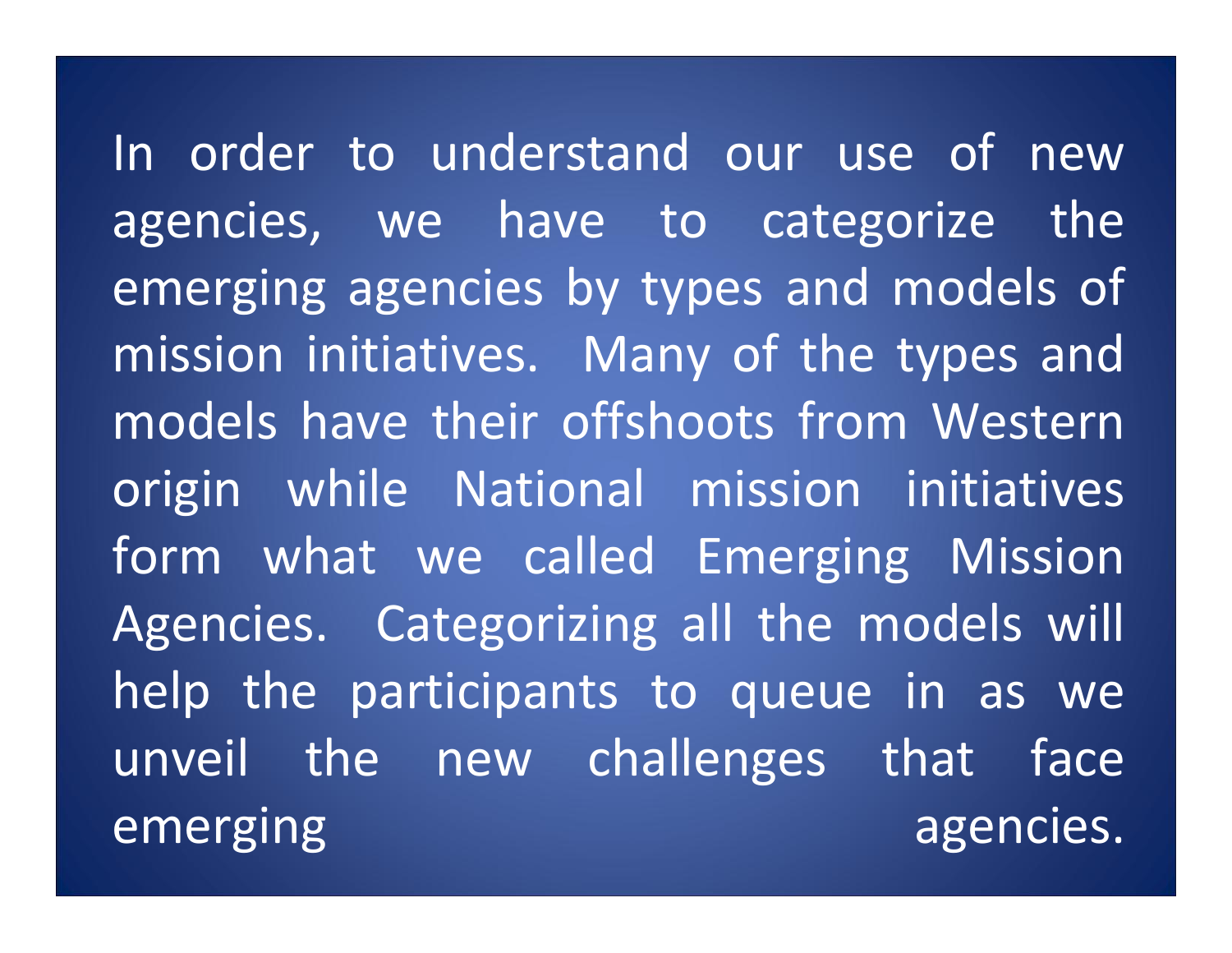In order to understand our use of new agencies, we have to categorize the emerging agencies by types and models of mission initiatives. Many of the types and models have their offshoots from Western origin while National mission initiatives form what we called Emerging Mission Agencies. Categorizing all the models will help the participants to queue in as we unveil the new challenges that face emerging agencies.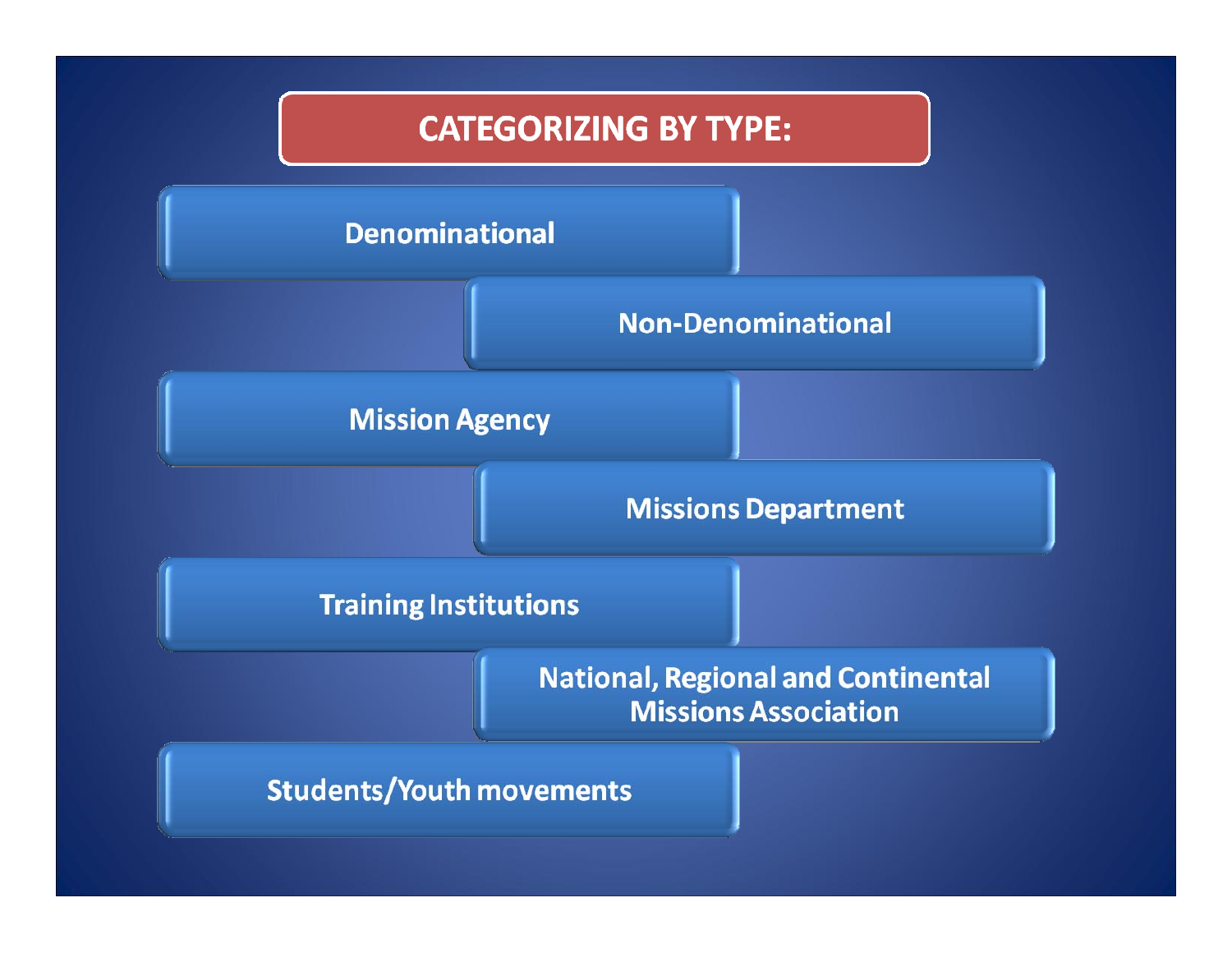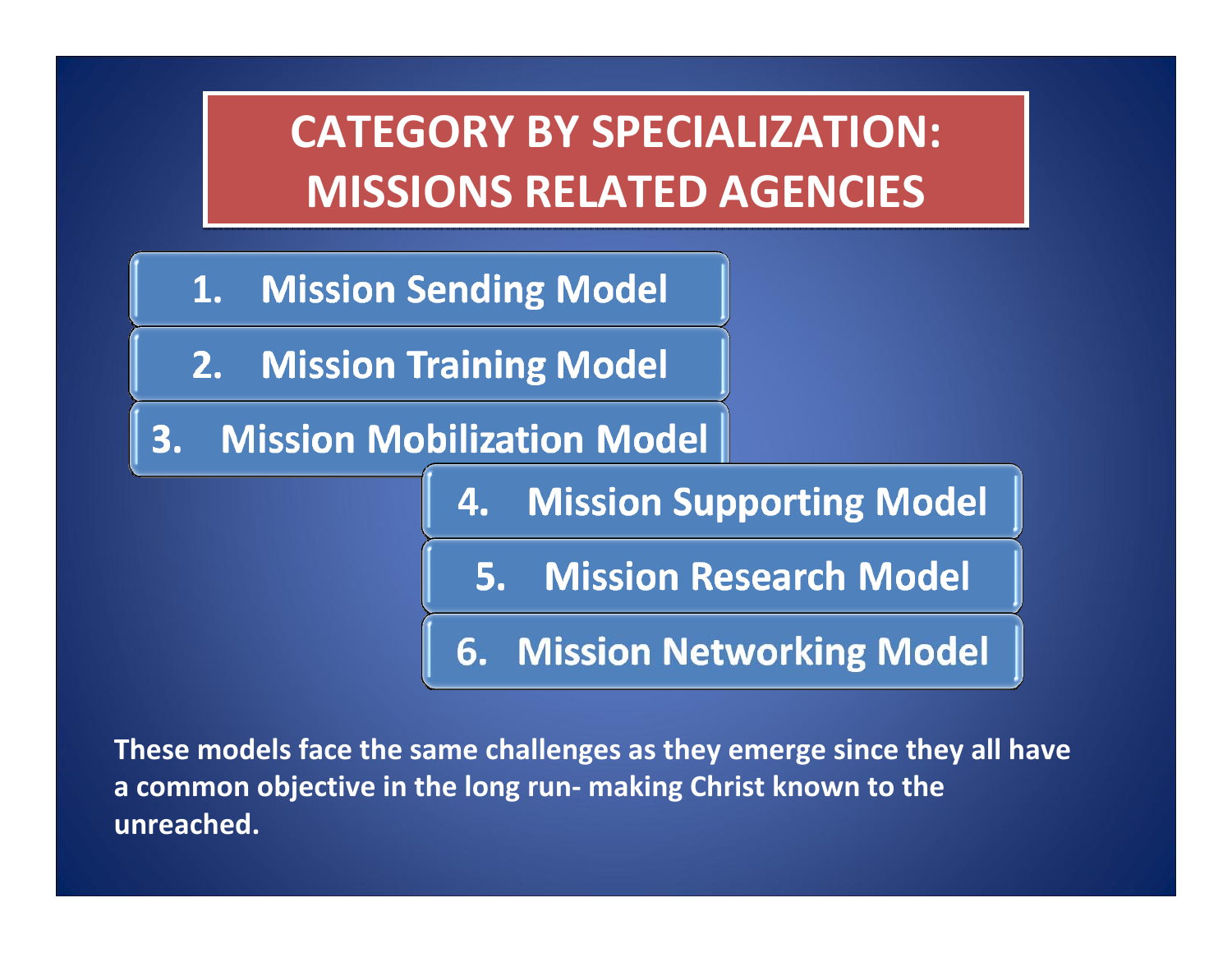# **CATEGORY BY SPECIALIZATION: CATEGORY BY SPECIALIZATION: MISSIONS RELATED AGENCIES MISSIONS RELATED AGENCIES**

- **Mission Sending Model**  $1.$
- $2.$ **Mission Training Model**
- 3. **Mission Mobilization Model**

**Mission Supporting Model** 4.

**Mission Research Model**  $5.$ 

**Mission Networking Model** 6.

**These models face the same challenges as they emerge since they all have a common objective in the long run‐ making Christ known to the unreached.**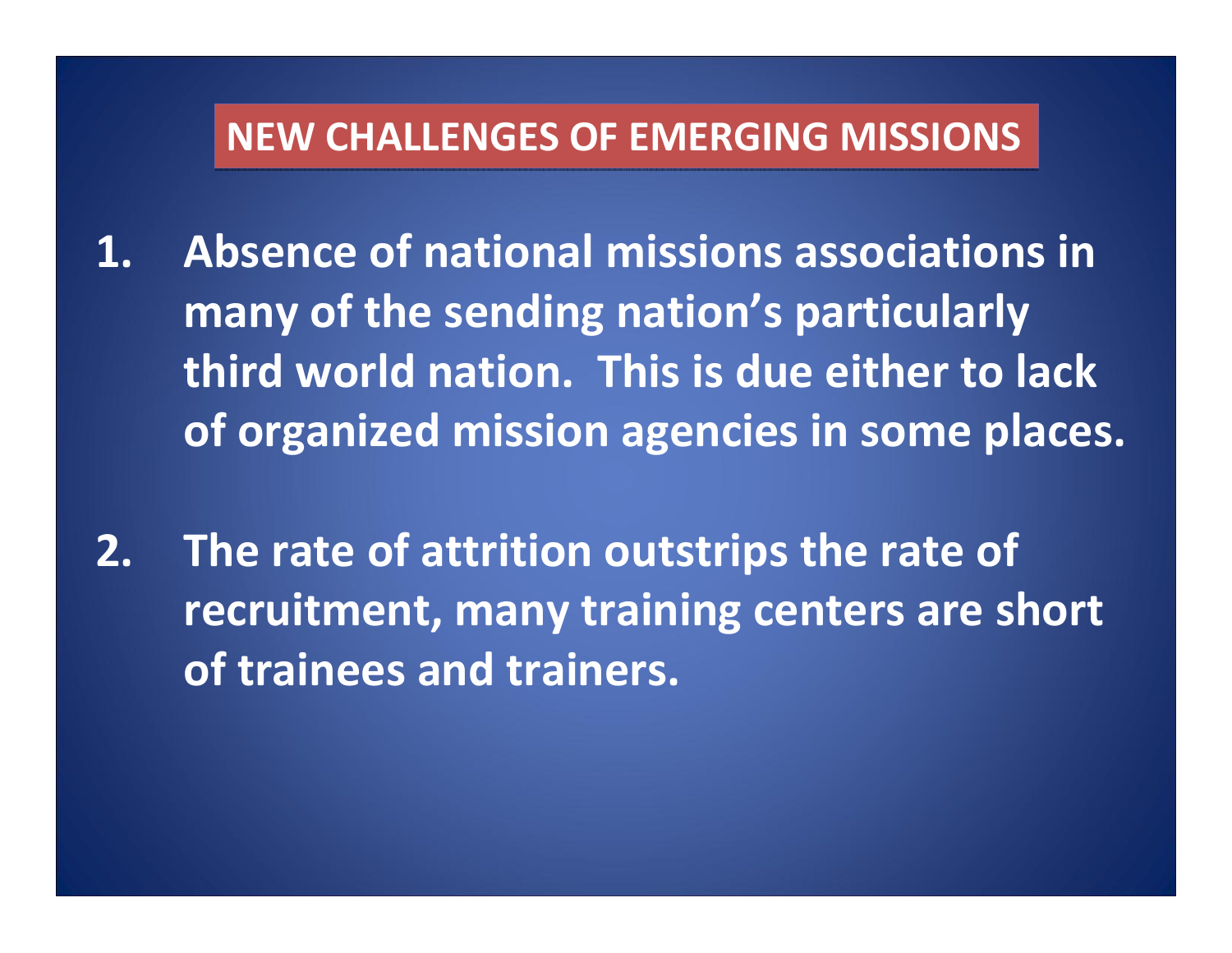#### **NEW CHALLENGES CHALLENGES OF EMERGING EMERGING MISSIONS MISSIONS**

- **1. Absence of national missions associations inmany of the sending nation's particularly third world nation. This is due either to lack of organized mission agencies in some places.**
- **2. The rate of attrition outstrips the rate of recruitment, many training centers are short of trainees and trainers.**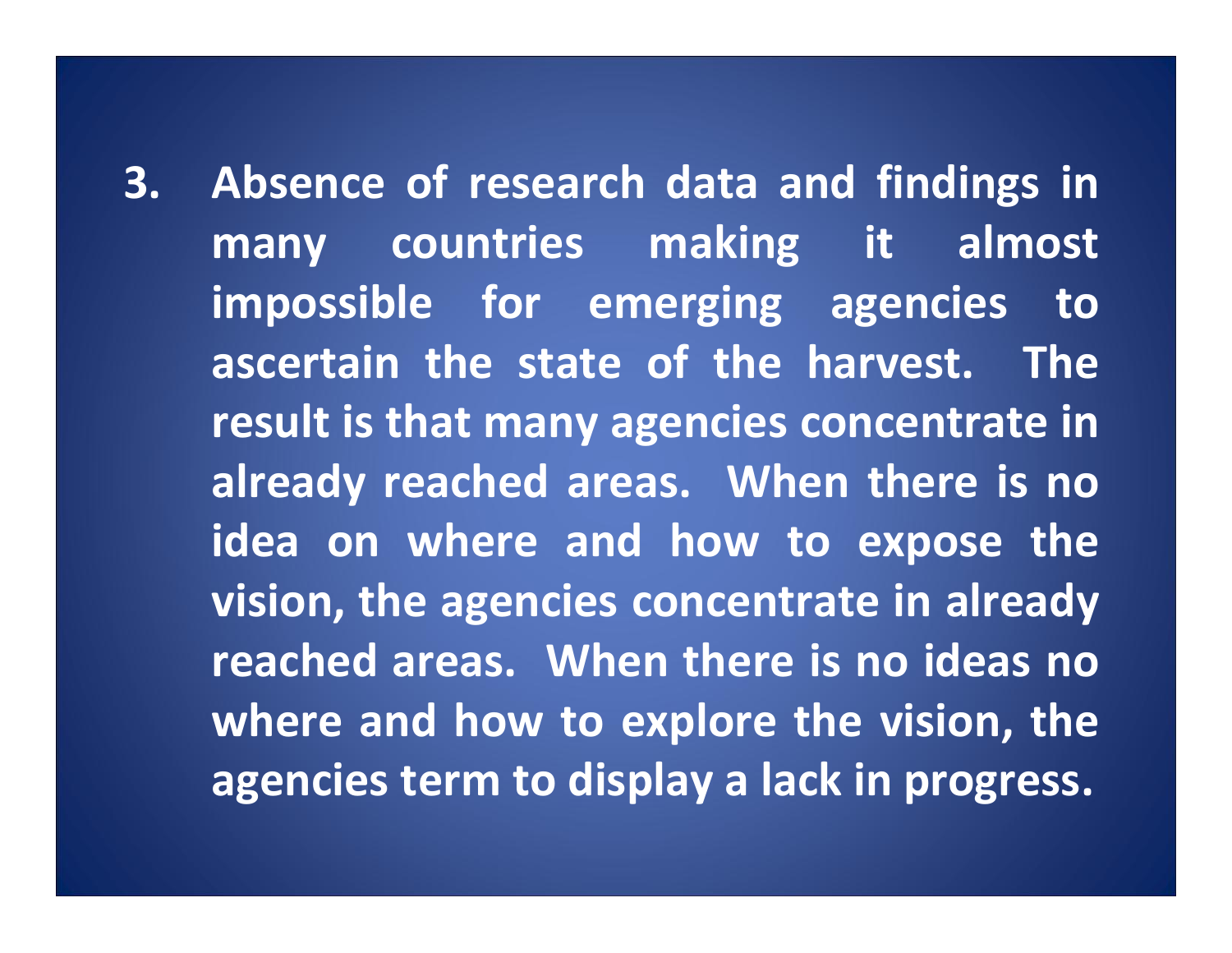**3. Absence of research data and findings in many countries making it almost impossible for emerging agencies to ascertain the state of the harvest. The result is that many agencies concentrate in already reached areas. When there is no idea on where and how to expose the vision, the agencies concentrate in already reached areas. When there is no ideas no where and how to explore the vision, the agencies term to display <sup>a</sup> lack in progress.**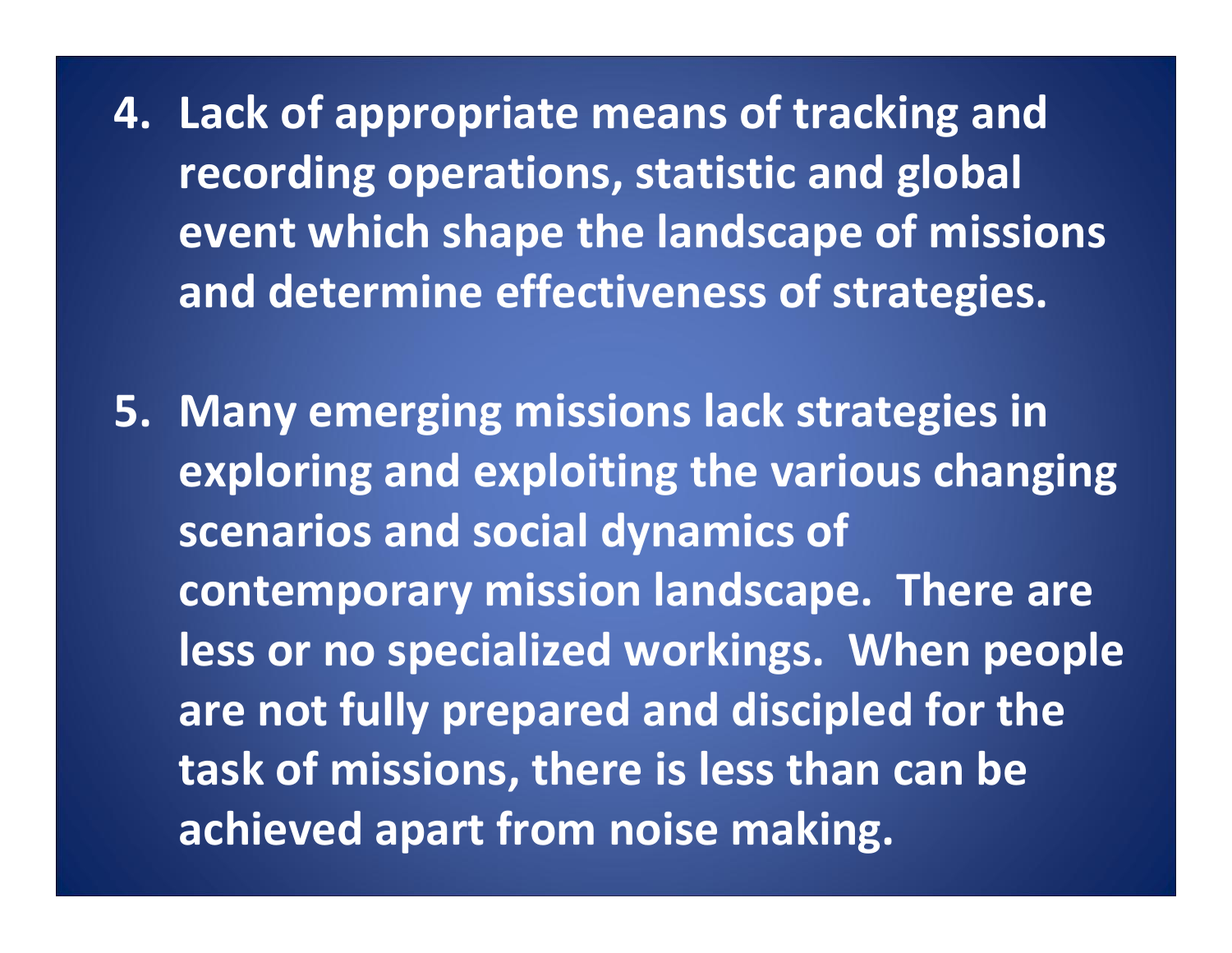**4. Lack of appropriate means of tracking and recording operations, statistic and global event which shape the landscape of missions and determine effectiveness of strategies.**

**5. Many emerging missions lack strategies in exploring and exploiting the various changing scenarios and social dynamics of contemporary mission landscape. There are less or no specialized workings. When people are not fully prepared and discipled for the task of missions, there is less than can be achieved apart from noise making.**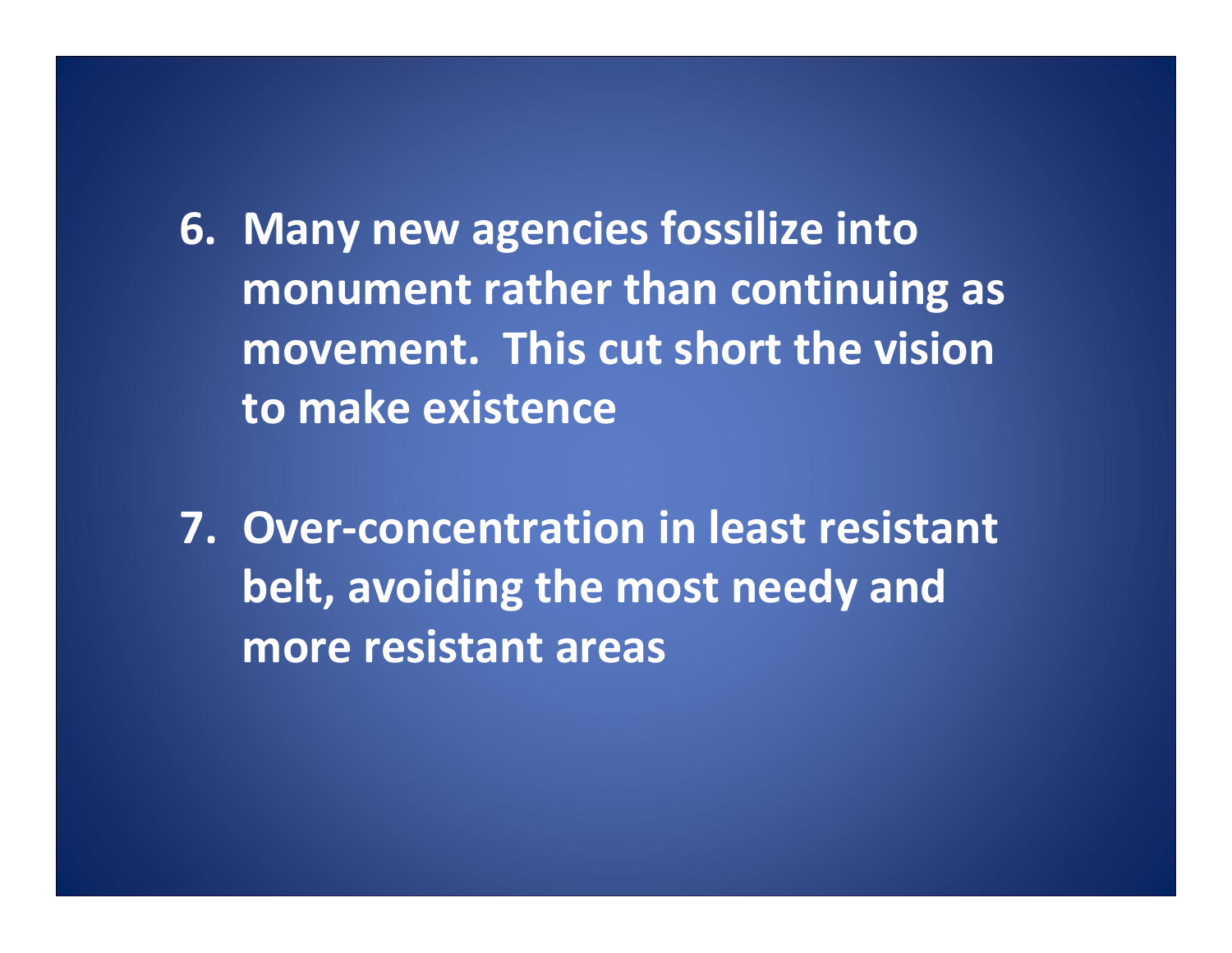**6. Many new agencies fossilize into monument rather than continuing as movement. This cut short the visionto make existence**

**7. Over‐concentration in least resistant belt, avoiding the most needy and more resistant areas**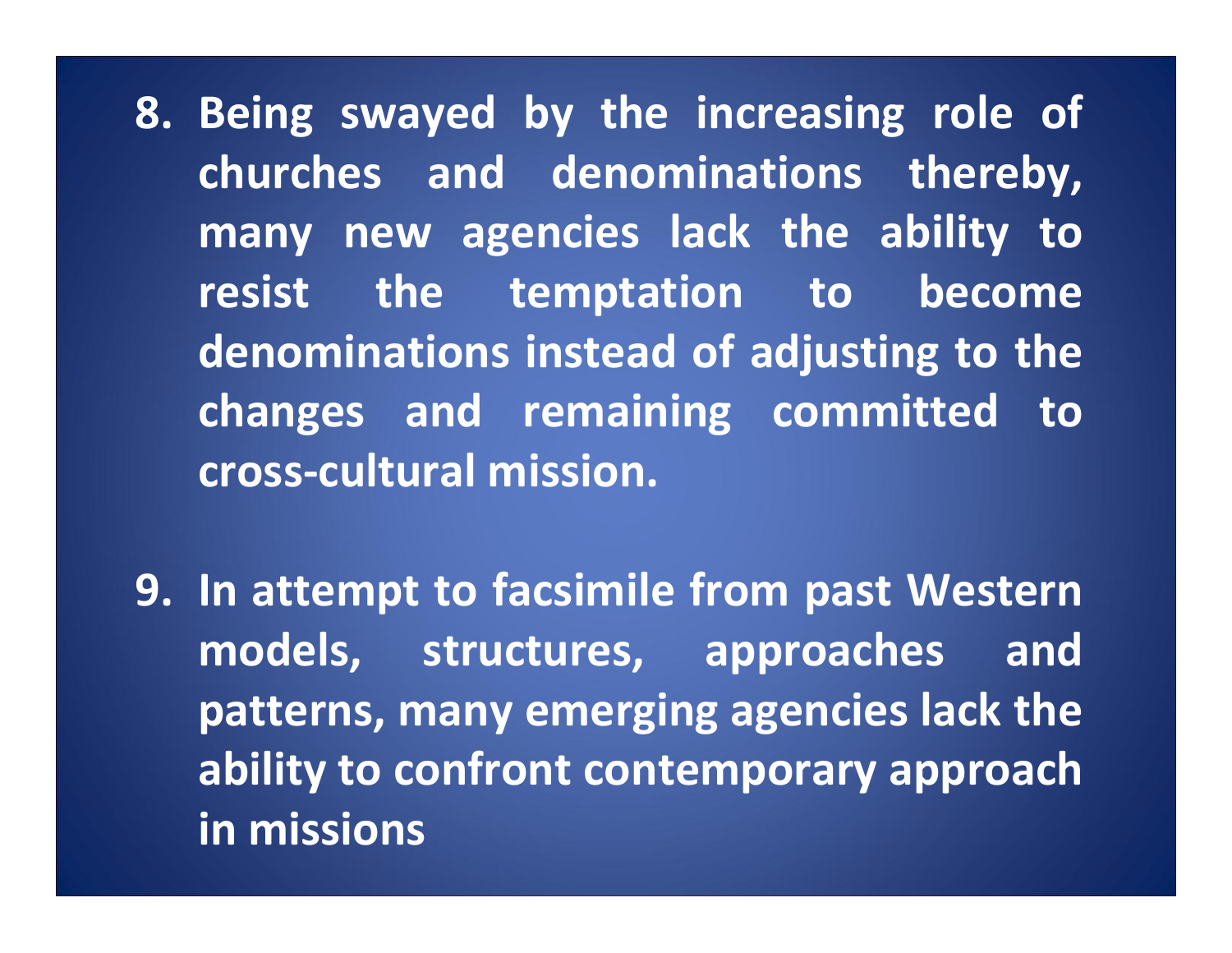**8. Being swayed by the increasing role of churches and denominations thereby, many new agencies lack the ability to resist the temptation to become denominations instead of adjusting to the changes and remaining committed to cross‐cultural mission.**

**9. In attempt to facsimile from past Western models, structures, approaches and patterns, many emerging agencies lack the ability to confront contemporary approach in missions**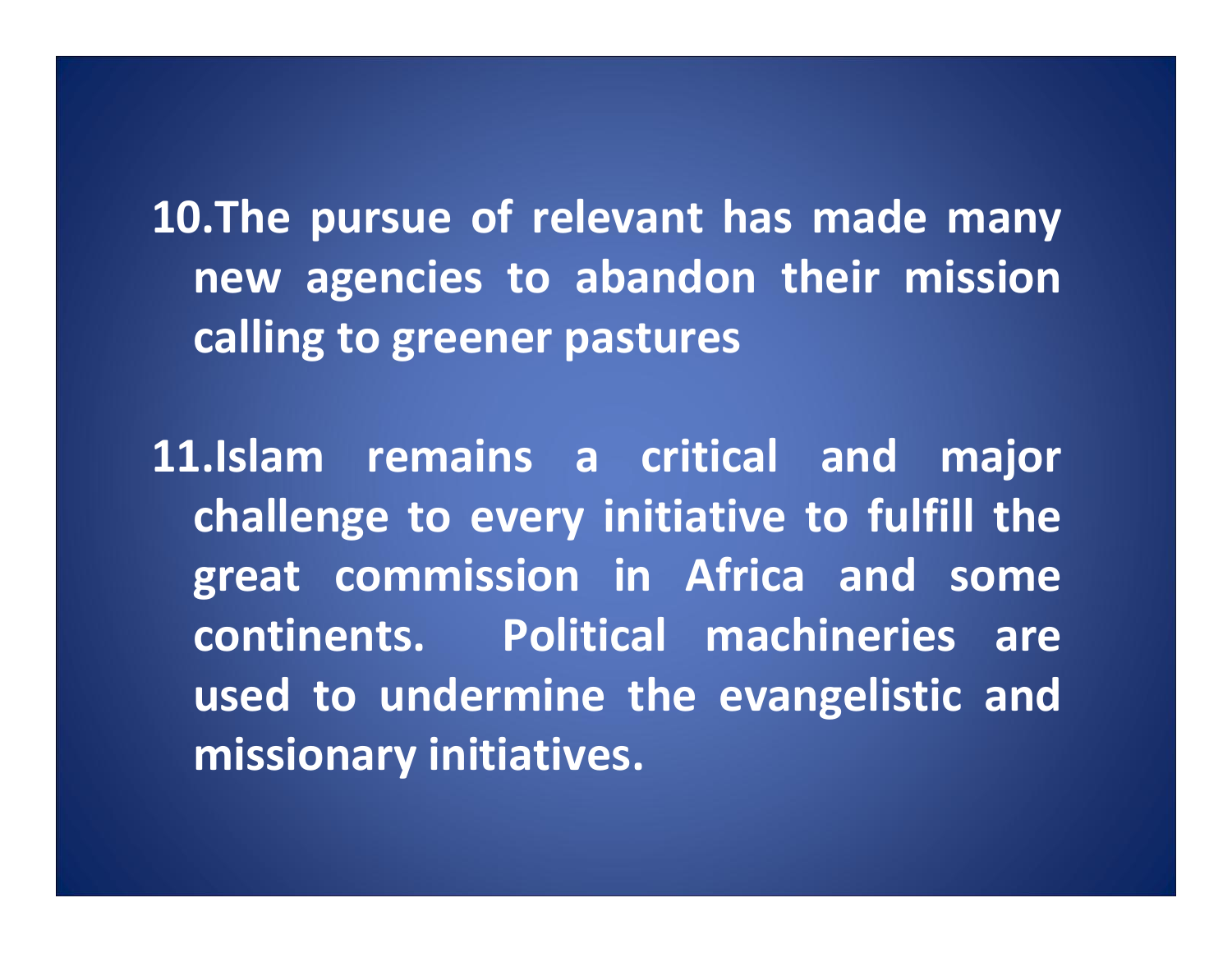**10.The pursue of relevant has made many new agencies to abandon their mission calling to greener pastures**

**11.Islam remains <sup>a</sup> critical and major challenge to every initiative to fulfill the great commission in Africa and some continents. Political machineries areused to undermine the evangelistic and missionary initiatives.**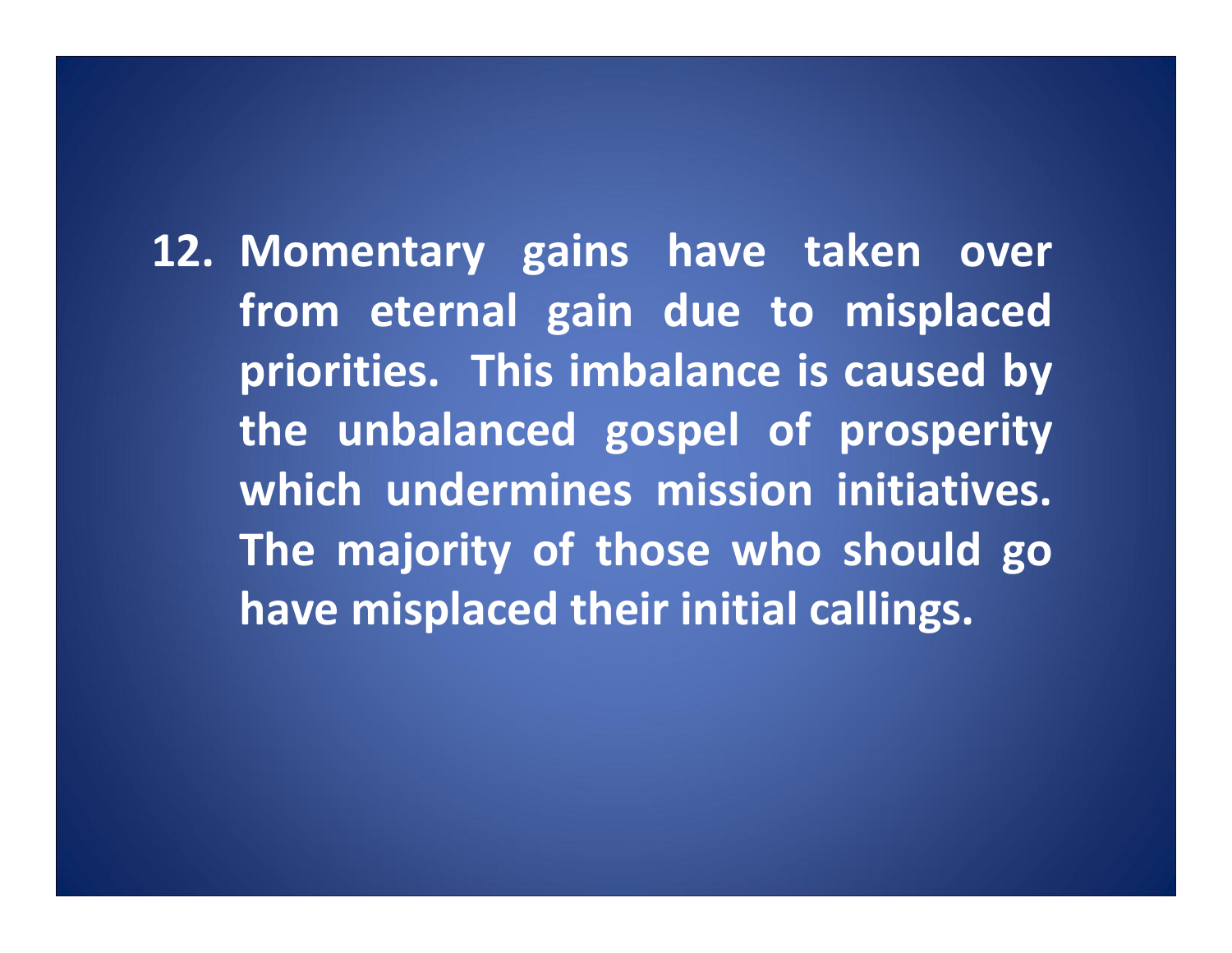**12. Momentary gains have taken over from eternal gain due to misplaced priorities. This imbalance is caused by the unbalanced gospel of prosperity which undermines mission initiatives. The majority of those who should go have misplaced their initial callings.**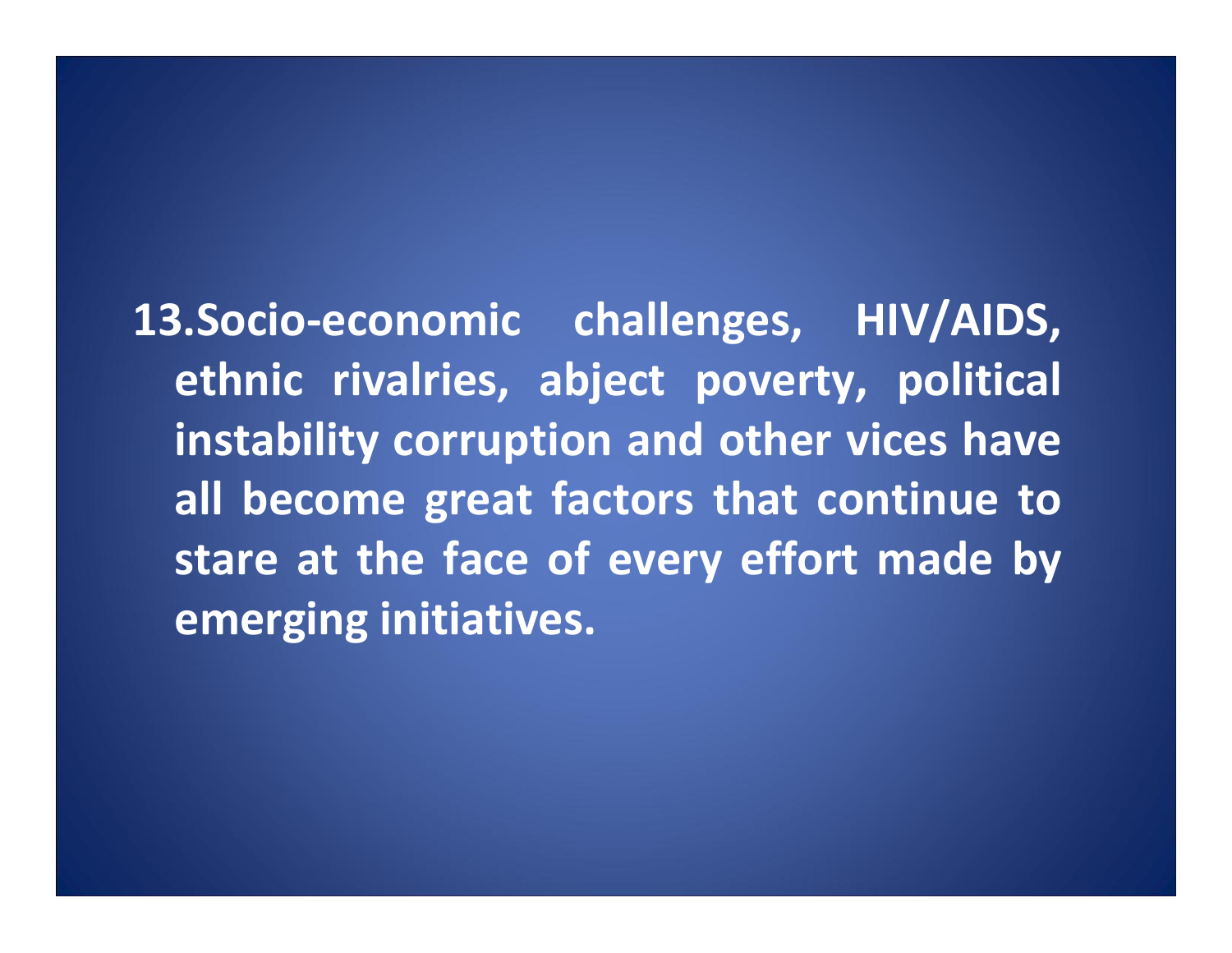**13.Socio‐economic challenges, HIV/AIDS, ethnic rivalries, abject poverty, political instability corruption and other vices have all become great factors that continue to stare at the face of every effort made by emerging initiatives.**